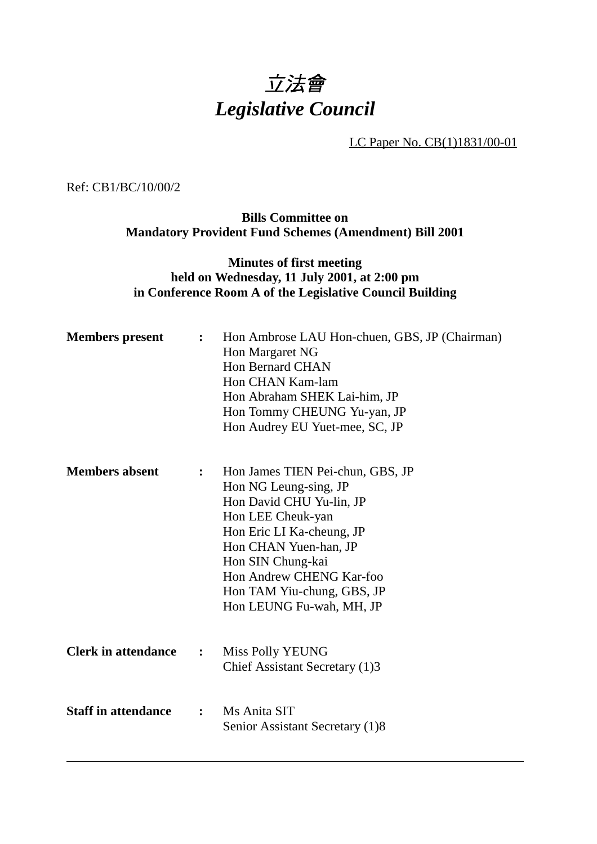## 立法會 *Legislative Council*

LC Paper No. CB(1)1831/00-01

Ref: CB1/BC/10/00/2

**Bills Committee on Mandatory Provident Fund Schemes (Amendment) Bill 2001**

## **Minutes of first meeting held on Wednesday, 11 July 2001, at 2:00 pm in Conference Room A of the Legislative Council Building**

| <b>Members</b> present     | $\ddot{\cdot}$ | Hon Ambrose LAU Hon-chuen, GBS, JP (Chairman)<br>Hon Margaret NG<br><b>Hon Bernard CHAN</b><br>Hon CHAN Kam-lam<br>Hon Abraham SHEK Lai-him, JP<br>Hon Tommy CHEUNG Yu-yan, JP<br>Hon Audrey EU Yuet-mee, SC, JP                                                            |
|----------------------------|----------------|-----------------------------------------------------------------------------------------------------------------------------------------------------------------------------------------------------------------------------------------------------------------------------|
| <b>Members absent</b>      | $\ddot{\cdot}$ | Hon James TIEN Pei-chun, GBS, JP<br>Hon NG Leung-sing, JP<br>Hon David CHU Yu-lin, JP<br>Hon LEE Cheuk-yan<br>Hon Eric LI Ka-cheung, JP<br>Hon CHAN Yuen-han, JP<br>Hon SIN Chung-kai<br>Hon Andrew CHENG Kar-foo<br>Hon TAM Yiu-chung, GBS, JP<br>Hon LEUNG Fu-wah, MH, JP |
| <b>Clerk in attendance</b> | $\ddot{\cdot}$ | <b>Miss Polly YEUNG</b><br>Chief Assistant Secretary (1)3                                                                                                                                                                                                                   |
| <b>Staff in attendance</b> | $\ddot{\cdot}$ | Ms Anita SIT<br>Senior Assistant Secretary (1)8                                                                                                                                                                                                                             |